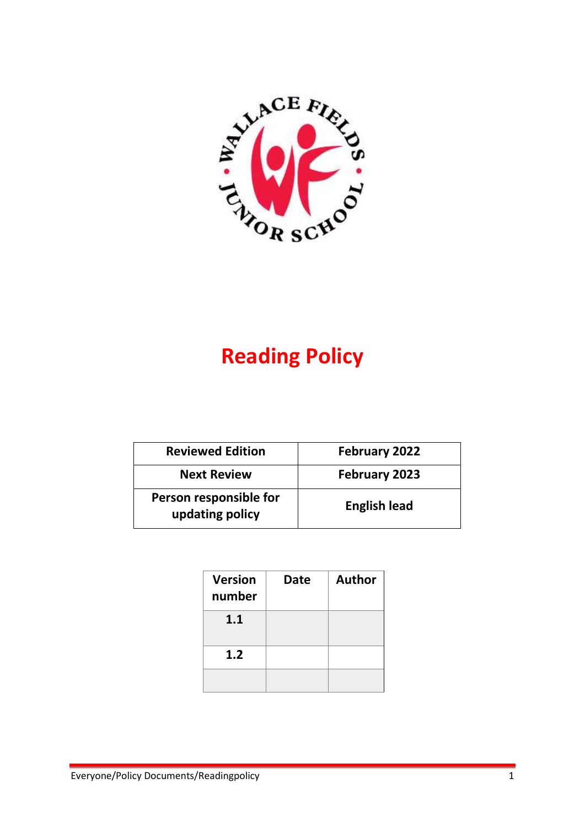

# **Reading Policy**

| <b>Reviewed Edition</b>                   | February 2022       |  |
|-------------------------------------------|---------------------|--|
| <b>Next Review</b>                        | February 2023       |  |
| Person responsible for<br>updating policy | <b>English lead</b> |  |

| <b>Version</b><br>number | <b>Date</b> | <b>Author</b> |
|--------------------------|-------------|---------------|
| 1.1                      |             |               |
| 1.2                      |             |               |
|                          |             |               |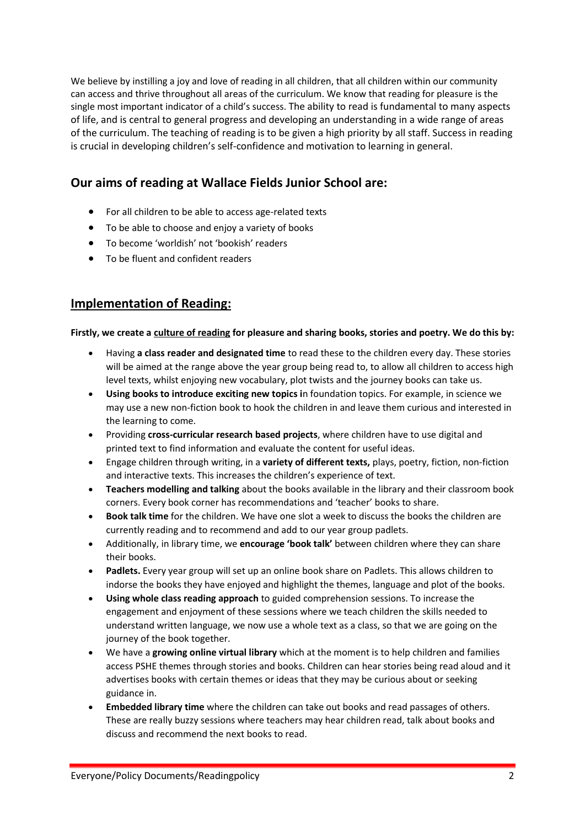We believe by instilling a joy and love of reading in all children, that all children within our community can access and thrive throughout all areas of the curriculum. We know that reading for pleasure is the single most important indicator of a child's success. The ability to read is fundamental to many aspects of life, and is central to general progress and developing an understanding in a wide range of areas of the curriculum. The teaching of reading is to be given a high priority by all staff. Success in reading is crucial in developing children's self-confidence and motivation to learning in general.

# **Our aims of reading at Wallace Fields Junior School are:**

- For all children to be able to access age-related texts
- To be able to choose and enjoy a variety of books
- To become 'worldish' not 'bookish' readers
- To be fluent and confident readers

## **Implementation of Reading:**

#### **Firstly, we create a culture of reading for pleasure and sharing books, stories and poetry. We do this by:**

- Having **a class reader and designated time** to read these to the children every day. These stories will be aimed at the range above the year group being read to, to allow all children to access high level texts, whilst enjoying new vocabulary, plot twists and the journey books can take us.
- **Using books to introduce exciting new topics i**n foundation topics. For example, in science we may use a new non-fiction book to hook the children in and leave them curious and interested in the learning to come.
- Providing **cross-curricular research based projects**, where children have to use digital and printed text to find information and evaluate the content for useful ideas.
- Engage children through writing, in a **variety of different texts,** plays, poetry, fiction, non-fiction and interactive texts. This increases the children's experience of text.
- **Teachers modelling and talking** about the books available in the library and their classroom book corners. Every book corner has recommendations and 'teacher' books to share.
- **Book talk time** for the children. We have one slot a week to discuss the books the children are currently reading and to recommend and add to our year group padlets.
- Additionally, in library time, we **encourage 'book talk'** between children where they can share their books.
- **Padlets.** Every year group will set up an online book share on Padlets. This allows children to indorse the books they have enjoyed and highlight the themes, language and plot of the books.
- **Using whole class reading approach** to guided comprehension sessions. To increase the engagement and enjoyment of these sessions where we teach children the skills needed to understand written language, we now use a whole text as a class, so that we are going on the journey of the book together.
- We have a **growing online virtual library** which at the moment is to help children and families access PSHE themes through stories and books. Children can hear stories being read aloud and it advertises books with certain themes or ideas that they may be curious about or seeking guidance in.
- **Embedded library time** where the children can take out books and read passages of others. These are really buzzy sessions where teachers may hear children read, talk about books and discuss and recommend the next books to read.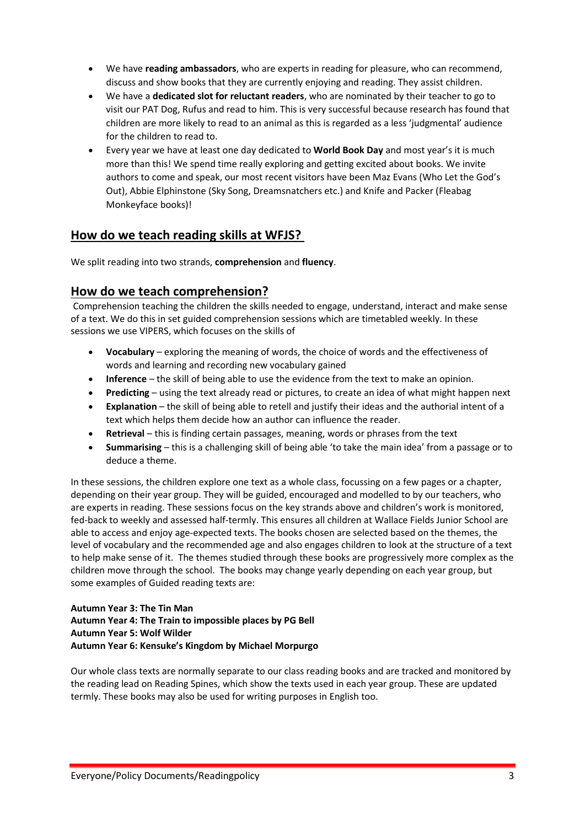- We have **reading ambassadors**, who are experts in reading for pleasure, who can recommend, discuss and show books that they are currently enjoying and reading. They assist children.
- We have a **dedicated slot for reluctant readers**, who are nominated by their teacher to go to visit our PAT Dog, Rufus and read to him. This is very successful because research has found that children are more likely to read to an animal as this is regarded as a less 'judgmental' audience for the children to read to.
- Every year we have at least one day dedicated to **World Book Day** and most year's it is much more than this! We spend time really exploring and getting excited about books. We invite authors to come and speak, our most recent visitors have been Maz Evans (Who Let the God's Out), Abbie Elphinstone (Sky Song, Dreamsnatchers etc.) and Knife and Packer (Fleabag Monkeyface books)!

## **How do we teach reading skills at WFJS?**

We split reading into two strands, **comprehension** and **fluency**.

## **How do we teach comprehension?**

Comprehension teaching the children the skills needed to engage, understand, interact and make sense of a text. We do this in set guided comprehension sessions which are timetabled weekly. In these sessions we use VIPERS, which focuses on the skills of

- **Vocabulary** exploring the meaning of words, the choice of words and the effectiveness of words and learning and recording new vocabulary gained
- **Inference** the skill of being able to use the evidence from the text to make an opinion.
- **Predicting** using the text already read or pictures, to create an idea of what might happen next
- **Explanation** the skill of being able to retell and justify their ideas and the authorial intent of a text which helps them decide how an author can influence the reader.
- **Retrieval** this is finding certain passages, meaning, words or phrases from the text
- **Summarising** this is a challenging skill of being able 'to take the main idea' from a passage or to deduce a theme.

In these sessions, the children explore one text as a whole class, focussing on a few pages or a chapter, depending on their year group. They will be guided, encouraged and modelled to by our teachers, who are experts in reading. These sessions focus on the key strands above and children's work is monitored, fed-back to weekly and assessed half-termly. This ensures all children at Wallace Fields Junior School are able to access and enjoy age-expected texts. The books chosen are selected based on the themes, the level of vocabulary and the recommended age and also engages children to look at the structure of a text to help make sense of it. The themes studied through these books are progressively more complex as the children move through the school. The books may change yearly depending on each year group, but some examples of Guided reading texts are:

#### **Autumn Year 3: The Tin Man Autumn Year 4: The Train to impossible places by PG Bell Autumn Year 5: Wolf Wilder Autumn Year 6: Kensuke's Kingdom by Michael Morpurgo**

Our whole class texts are normally separate to our class reading books and are tracked and monitored by the reading lead on Reading Spines, which show the texts used in each year group. These are updated termly. These books may also be used for writing purposes in English too.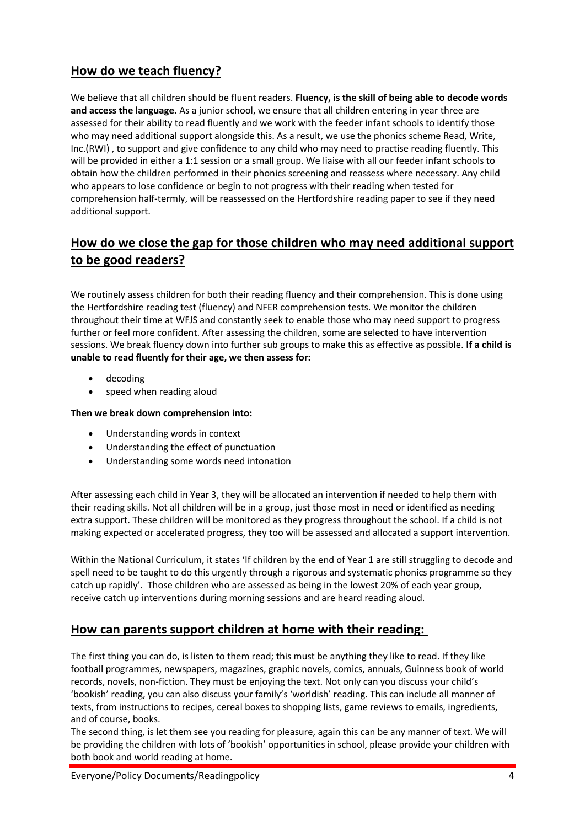# **How do we teach fluency?**

We believe that all children should be fluent readers. **Fluency, is the skill of being able to decode words and access the language.** As a junior school, we ensure that all children entering in year three are assessed for their ability to read fluently and we work with the feeder infant schools to identify those who may need additional support alongside this. As a result, we use the phonics scheme Read, Write, Inc.(RWI) , to support and give confidence to any child who may need to practise reading fluently. This will be provided in either a 1:1 session or a small group. We liaise with all our feeder infant schools to obtain how the children performed in their phonics screening and reassess where necessary. Any child who appears to lose confidence or begin to not progress with their reading when tested for comprehension half-termly, will be reassessed on the Hertfordshire reading paper to see if they need additional support.

# **How do we close the gap for those children who may need additional support to be good readers?**

We routinely assess children for both their reading fluency and their comprehension. This is done using the Hertfordshire reading test (fluency) and NFER comprehension tests. We monitor the children throughout their time at WFJS and constantly seek to enable those who may need support to progress further or feel more confident. After assessing the children, some are selected to have intervention sessions. We break fluency down into further sub groups to make this as effective as possible. **If a child is unable to read fluently for their age, we then assess for:**

- decoding
- speed when reading aloud

#### **Then we break down comprehension into:**

- Understanding words in context
- Understanding the effect of punctuation
- Understanding some words need intonation

After assessing each child in Year 3, they will be allocated an intervention if needed to help them with their reading skills. Not all children will be in a group, just those most in need or identified as needing extra support. These children will be monitored as they progress throughout the school. If a child is not making expected or accelerated progress, they too will be assessed and allocated a support intervention.

Within the National Curriculum, it states 'If children by the end of Year 1 are still struggling to decode and spell need to be taught to do this urgently through a rigorous and systematic phonics programme so they catch up rapidly'. Those children who are assessed as being in the lowest 20% of each year group, receive catch up interventions during morning sessions and are heard reading aloud.

## **How can parents support children at home with their reading:**

The first thing you can do, is listen to them read; this must be anything they like to read. If they like football programmes, newspapers, magazines, graphic novels, comics, annuals, Guinness book of world records, novels, non-fiction. They must be enjoying the text. Not only can you discuss your child's 'bookish' reading, you can also discuss your family's 'worldish' reading. This can include all manner of texts, from instructions to recipes, cereal boxes to shopping lists, game reviews to emails, ingredients, and of course, books.

The second thing, is let them see you reading for pleasure, again this can be any manner of text. We will be providing the children with lots of 'bookish' opportunities in school, please provide your children with both book and world reading at home.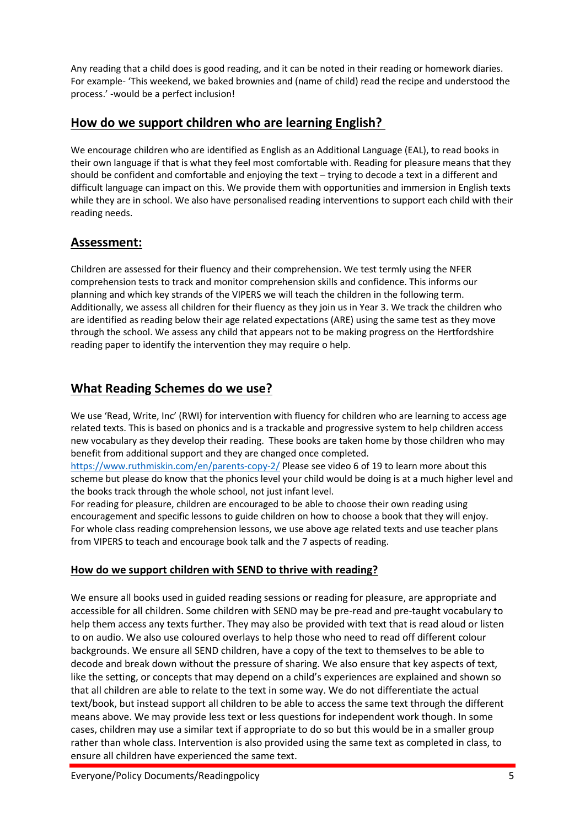Any reading that a child does is good reading, and it can be noted in their reading or homework diaries. For example- 'This weekend, we baked brownies and (name of child) read the recipe and understood the process.' -would be a perfect inclusion!

# **How do we support children who are learning English?**

We encourage children who are identified as English as an Additional Language (EAL), to read books in their own language if that is what they feel most comfortable with. Reading for pleasure means that they should be confident and comfortable and enjoying the text – trying to decode a text in a different and difficult language can impact on this. We provide them with opportunities and immersion in English texts while they are in school. We also have personalised reading interventions to support each child with their reading needs.

# **Assessment:**

Children are assessed for their fluency and their comprehension. We test termly using the NFER comprehension tests to track and monitor comprehension skills and confidence. This informs our planning and which key strands of the VIPERS we will teach the children in the following term. Additionally, we assess all children for their fluency as they join us in Year 3. We track the children who are identified as reading below their age related expectations (ARE) using the same test as they move through the school. We assess any child that appears not to be making progress on the Hertfordshire reading paper to identify the intervention they may require o help.

# **What Reading Schemes do we use?**

We use 'Read, Write, Inc' (RWI) for intervention with fluency for children who are learning to access age related texts. This is based on phonics and is a trackable and progressive system to help children access new vocabulary as they develop their reading. These books are taken home by those children who may benefit from additional support and they are changed once completed.

<https://www.ruthmiskin.com/en/parents-copy-2/> Please see video 6 of 19 to learn more about this scheme but please do know that the phonics level your child would be doing is at a much higher level and the books track through the whole school, not just infant level.

For reading for pleasure, children are encouraged to be able to choose their own reading using encouragement and specific lessons to guide children on how to choose a book that they will enjoy. For whole class reading comprehension lessons, we use above age related texts and use teacher plans from VIPERS to teach and encourage book talk and the 7 aspects of reading.

#### **How do we support children with SEND to thrive with reading?**

We ensure all books used in guided reading sessions or reading for pleasure, are appropriate and accessible for all children. Some children with SEND may be pre-read and pre-taught vocabulary to help them access any texts further. They may also be provided with text that is read aloud or listen to on audio. We also use coloured overlays to help those who need to read off different colour backgrounds. We ensure all SEND children, have a copy of the text to themselves to be able to decode and break down without the pressure of sharing. We also ensure that key aspects of text, like the setting, or concepts that may depend on a child's experiences are explained and shown so that all children are able to relate to the text in some way. We do not differentiate the actual text/book, but instead support all children to be able to access the same text through the different means above. We may provide less text or less questions for independent work though. In some cases, children may use a similar text if appropriate to do so but this would be in a smaller group rather than whole class. Intervention is also provided using the same text as completed in class, to ensure all children have experienced the same text.